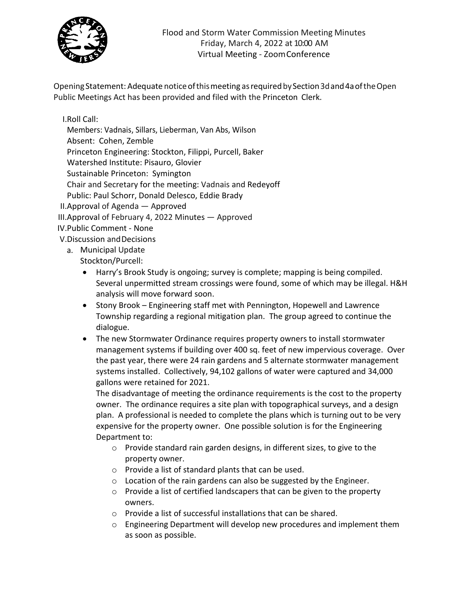

Opening Statement: Adequate noticeofthismeeting asrequiredbySection3dand4aoftheOpen Public Meetings Act has been provided and filed with the Princeton Clerk.

## I.Roll Call:

Members: Vadnais, Sillars, Lieberman, Van Abs, Wilson Absent: Cohen, Zemble Princeton Engineering: Stockton, Filippi, Purcell, Baker Watershed Institute: Pisauro, Glovier Sustainable Princeton: Symington Chair and Secretary for the meeting: Vadnais and Redeyoff Public: Paul Schorr, Donald Delesco, Eddie Brady II.Approval of Agenda — Approved III.Approval of February 4, 2022 Minutes — Approved

## IV.Public Comment - None

V.Discussion andDecisions

- a. Municipal Update Stockton/Purcell:
	- Harry's Brook Study is ongoing; survey is complete; mapping is being compiled. Several unpermitted stream crossings were found, some of which may be illegal. H&H analysis will move forward soon.
	- Stony Brook Engineering staff met with Pennington, Hopewell and Lawrence Township regarding a regional mitigation plan. The group agreed to continue the dialogue.
	- The new Stormwater Ordinance requires property owners to install stormwater management systems if building over 400 sq. feet of new impervious coverage. Over the past year, there were 24 rain gardens and 5 alternate stormwater management systems installed. Collectively, 94,102 gallons of water were captured and 34,000 gallons were retained for 2021.

The disadvantage of meeting the ordinance requirements is the cost to the property owner. The ordinance requires a site plan with topographical surveys, and a design plan. A professional is needed to complete the plans which is turning out to be very expensive for the property owner. One possible solution is for the Engineering Department to:

- $\circ$  Provide standard rain garden designs, in different sizes, to give to the property owner.
- o Provide a list of standard plants that can be used.
- o Location of the rain gardens can also be suggested by the Engineer.
- o Provide a list of certified landscapers that can be given to the property owners.
- o Provide a list of successful installations that can be shared.
- o Engineering Department will develop new procedures and implement them as soon as possible.